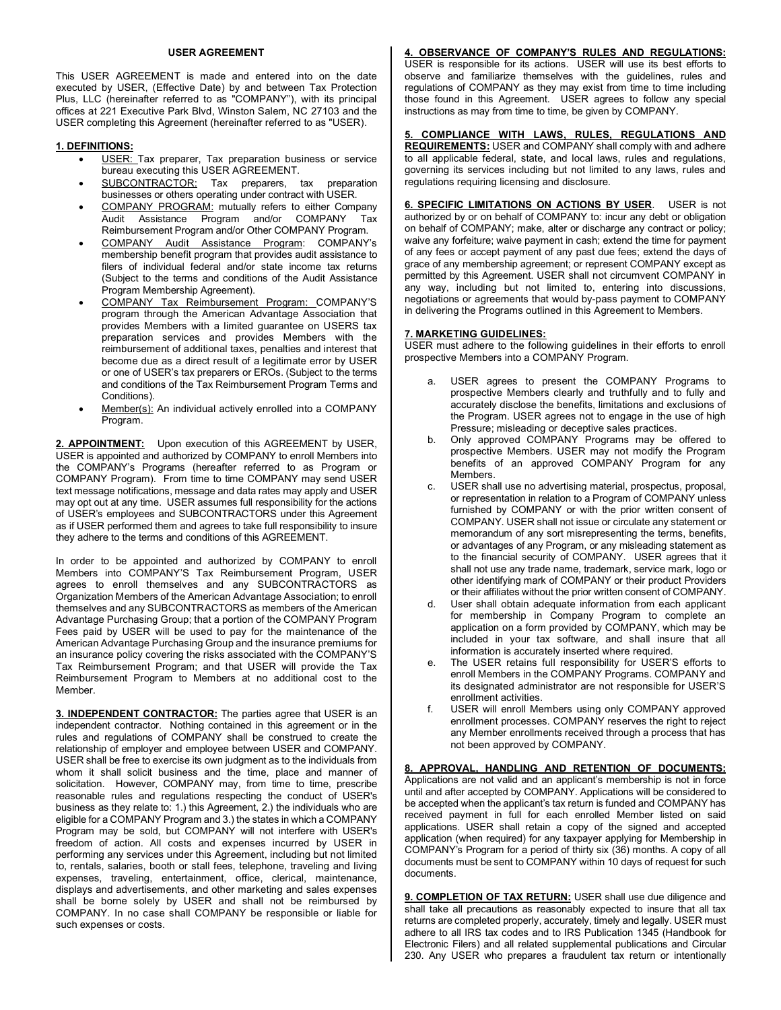## **USER AGREEMENT**

This USER AGREEMENT is made and entered into on the date executed by USER, (Effective Date) by and between Tax Protection Plus, LLC (hereinafter referred to as "COMPANY"), with its principal offices at 221 Executive Park Blvd, Winston Salem, NC 27103 and the USER completing this Agreement (hereinafter referred to as "USER).

# **1. DEFINITIONS:**

- USER: Tax preparer, Tax preparation business or service bureau executing this USER AGREEMENT.
- SUBCONTRACTOR: Tax preparers, tax preparation businesses or others operating under contract with USER.
- COMPANY PROGRAM: mutually refers to either Company Audit Assistance Program and/or COMPANY Tax Reimbursement Program and/or Other COMPANY Program.
- COMPANY Audit Assistance Program: COMPANY's membership benefit program that provides audit assistance to filers of individual federal and/or state income tax returns (Subject to the terms and conditions of the Audit Assistance Program Membership Agreement).
- COMPANY Tax Reimbursement Program: COMPANY'S program through the American Advantage Association that provides Members with a limited guarantee on USERS tax preparation services and provides Members with the reimbursement of additional taxes, penalties and interest that become due as a direct result of a legitimate error by USER or one of USER's tax preparers or EROs. (Subject to the terms and conditions of the Tax Reimbursement Program Terms and Conditions).
- Member(s): An individual actively enrolled into a COMPANY Program.

2. APPOINTMENT: Upon execution of this AGREEMENT by USER, USER is appointed and authorized by COMPANY to enroll Members into the COMPANY's Programs (hereafter referred to as Program or COMPANY Program). From time to time COMPANY may send USER text message notifications, message and data rates may apply and USER may opt out at any time. USER assumes full responsibility for the actions of USER's employees and SUBCONTRACTORS under this Agreement as if USER performed them and agrees to take full responsibility to insure they adhere to the terms and conditions of this AGREEMENT.

In order to be appointed and authorized by COMPANY to enroll Members into COMPANY'S Tax Reimbursement Program, USER agrees to enroll themselves and any SUBCONTRACTORS as Organization Members of the American Advantage Association; to enroll themselves and any SUBCONTRACTORS as members of the American Advantage Purchasing Group; that a portion of the COMPANY Program Fees paid by USER will be used to pay for the maintenance of the American Advantage Purchasing Group and the insurance premiums for an insurance policy covering the risks associated with the COMPANY'S Tax Reimbursement Program; and that USER will provide the Tax Reimbursement Program to Members at no additional cost to the Member.

**3. INDEPENDENT CONTRACTOR:** The parties agree that USER is an independent contractor. Nothing contained in this agreement or in the rules and regulations of COMPANY shall be construed to create the relationship of employer and employee between USER and COMPANY. USER shall be free to exercise its own judgment as to the individuals from whom it shall solicit business and the time, place and manner of solicitation. However, COMPANY may, from time to time, prescribe reasonable rules and regulations respecting the conduct of USER's business as they relate to: 1.) this Agreement, 2.) the individuals who are eligible for a COMPANY Program and 3.) the states in which a COMPANY Program may be sold, but COMPANY will not interfere with USER's freedom of action. All costs and expenses incurred by USER in performing any services under this Agreement, including but not limited to, rentals, salaries, booth or stall fees, telephone, traveling and living expenses, traveling, entertainment, office, clerical, maintenance, displays and advertisements, and other marketing and sales expenses shall be borne solely by USER and shall not be reimbursed by COMPANY. In no case shall COMPANY be responsible or liable for such expenses or costs.

**4. OBSERVANCE OF COMPANY'S RULES AND REGULATIONS:** USER is responsible for its actions. USER will use its best efforts to observe and familiarize themselves with the guidelines, rules and regulations of COMPANY as they may exist from time to time including those found in this Agreement. USER agrees to follow any special instructions as may from time to time, be given by COMPANY.

**5. COMPLIANCE WITH LAWS, RULES, REGULATIONS AND REQUIREMENTS:** USER and COMPANY shall comply with and adhere to all applicable federal, state, and local laws, rules and regulations, governing its services including but not limited to any laws, rules and regulations requiring licensing and disclosure.

**6. SPECIFIC LIMITATIONS ON ACTIONS BY USER**. USER is not authorized by or on behalf of COMPANY to: incur any debt or obligation on behalf of COMPANY; make, alter or discharge any contract or policy; waive any forfeiture; waive payment in cash; extend the time for payment of any fees or accept payment of any past due fees; extend the days of grace of any membership agreement; or represent COMPANY except as permitted by this Agreement. USER shall not circumvent COMPANY in any way, including but not limited to, entering into discussions, negotiations or agreements that would by-pass payment to COMPANY in delivering the Programs outlined in this Agreement to Members.

## **7. MARKETING GUIDELINES:**

USER must adhere to the following guidelines in their efforts to enroll prospective Members into a COMPANY Program.

- a. USER agrees to present the COMPANY Programs to prospective Members clearly and truthfully and to fully and accurately disclose the benefits, limitations and exclusions of the Program. USER agrees not to engage in the use of high Pressure; misleading or deceptive sales practices.
- b. Only approved COMPANY Programs may be offered to prospective Members. USER may not modify the Program benefits of an approved COMPANY Program for any Members.
- c. USER shall use no advertising material, prospectus, proposal, or representation in relation to a Program of COMPANY unless furnished by COMPANY or with the prior written consent of COMPANY. USER shall not issue or circulate any statement or memorandum of any sort misrepresenting the terms, benefits, or advantages of any Program, or any misleading statement as to the financial security of COMPANY. USER agrees that it shall not use any trade name, trademark, service mark, logo or other identifying mark of COMPANY or their product Providers or their affiliates without the prior written consent of COMPANY.
- d. User shall obtain adequate information from each applicant for membership in Company Program to complete an application on a form provided by COMPANY, which may be included in your tax software, and shall insure that all information is accurately inserted where required.
- e. The USER retains full responsibility for USER'S efforts to enroll Members in the COMPANY Programs. COMPANY and its designated administrator are not responsible for USER'S enrollment activities.
- USER will enroll Members using only COMPANY approved enrollment processes. COMPANY reserves the right to reject any Member enrollments received through a process that has not been approved by COMPANY.

**8. APPROVAL, HANDLING AND RETENTION OF DOCUMENTS:**  Applications are not valid and an applicant's membership is not in force until and after accepted by COMPANY. Applications will be considered to be accepted when the applicant's tax return is funded and COMPANY has received payment in full for each enrolled Member listed on said applications. USER shall retain a copy of the signed and accepted application (when required) for any taxpayer applying for Membership in COMPANY's Program for a period of thirty six (36) months. A copy of all documents must be sent to COMPANY within 10 days of request for such documents.

**9. COMPLETION OF TAX RETURN:** USER shall use due diligence and shall take all precautions as reasonably expected to insure that all tax returns are completed properly, accurately, timely and legally. USER must adhere to all IRS tax codes and to IRS Publication 1345 (Handbook for Electronic Filers) and all related supplemental publications and Circular 230. Any USER who prepares a fraudulent tax return or intentionally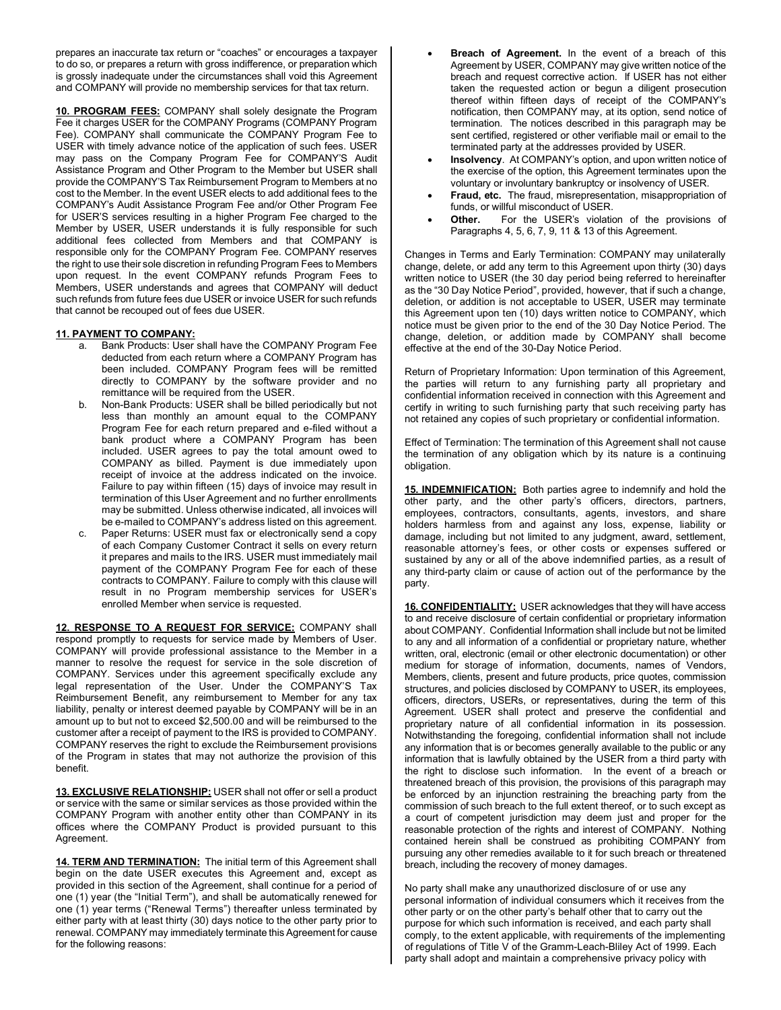prepares an inaccurate tax return or "coaches" or encourages a taxpayer to do so, or prepares a return with gross indifference, or preparation which is grossly inadequate under the circumstances shall void this Agreement and COMPANY will provide no membership services for that tax return.

**10. PROGRAM FEES:** COMPANY shall solely designate the Program Fee it charges USER for the COMPANY Programs (COMPANY Program Fee). COMPANY shall communicate the COMPANY Program Fee to USER with timely advance notice of the application of such fees. USER may pass on the Company Program Fee for COMPANY'S Audit Assistance Program and Other Program to the Member but USER shall provide the COMPANY'S Tax Reimbursement Program to Members at no cost to the Member. In the event USER elects to add additional fees to the COMPANY's Audit Assistance Program Fee and/or Other Program Fee for USER'S services resulting in a higher Program Fee charged to the Member by USER, USER understands it is fully responsible for such additional fees collected from Members and that COMPANY is responsible only for the COMPANY Program Fee. COMPANY reserves the right to use their sole discretion in refunding Program Fees to Members upon request. In the event COMPANY refunds Program Fees to Members, USER understands and agrees that COMPANY will deduct such refunds from future fees due USER or invoice USER for such refunds that cannot be recouped out of fees due USER.

## **11. PAYMENT TO COMPANY:**

- a. Bank Products: User shall have the COMPANY Program Fee deducted from each return where a COMPANY Program has been included. COMPANY Program fees will be remitted directly to COMPANY by the software provider and no remittance will be required from the USER.
- b. Non-Bank Products: USER shall be billed periodically but not less than monthly an amount equal to the COMPANY Program Fee for each return prepared and e-filed without a bank product where a COMPANY Program has been included. USER agrees to pay the total amount owed to COMPANY as billed. Payment is due immediately upon receipt of invoice at the address indicated on the invoice. Failure to pay within fifteen (15) days of invoice may result in termination of this User Agreement and no further enrollments may be submitted. Unless otherwise indicated, all invoices will be e-mailed to COMPANY's address listed on this agreement.
- c. Paper Returns: USER must fax or electronically send a copy of each Company Customer Contract it sells on every return it prepares and mails to the IRS. USER must immediately mail payment of the COMPANY Program Fee for each of these contracts to COMPANY. Failure to comply with this clause will result in no Program membership services for USER's enrolled Member when service is requested.

**12. RESPONSE TO A REQUEST FOR SERVICE:** COMPANY shall respond promptly to requests for service made by Members of User. COMPANY will provide professional assistance to the Member in a manner to resolve the request for service in the sole discretion of COMPANY. Services under this agreement specifically exclude any legal representation of the User. Under the COMPANY'S Tax Reimbursement Benefit, any reimbursement to Member for any tax liability, penalty or interest deemed payable by COMPANY will be in an amount up to but not to exceed \$2,500.00 and will be reimbursed to the customer after a receipt of payment to the IRS is provided to COMPANY. COMPANY reserves the right to exclude the Reimbursement provisions of the Program in states that may not authorize the provision of this benefit.

**13. EXCLUSIVE RELATIONSHIP:** USER shall not offer or sell a product or service with the same or similar services as those provided within the COMPANY Program with another entity other than COMPANY in its offices where the COMPANY Product is provided pursuant to this Agreement.

**14. TERM AND TERMINATION:** The initial term of this Agreement shall begin on the date USER executes this Agreement and, except as provided in this section of the Agreement, shall continue for a period of one (1) year (the "Initial Term"), and shall be automatically renewed for one (1) year terms ("Renewal Terms") thereafter unless terminated by either party with at least thirty (30) days notice to the other party prior to renewal. COMPANY may immediately terminate this Agreement for cause for the following reasons:

- **Breach of Agreement.** In the event of a breach of this Agreement by USER, COMPANY may give written notice of the breach and request corrective action. If USER has not either taken the requested action or begun a diligent prosecution thereof within fifteen days of receipt of the COMPANY's notification, then COMPANY may, at its option, send notice of termination. The notices described in this paragraph may be sent certified, registered or other verifiable mail or email to the terminated party at the addresses provided by USER.
- **Insolvency**. At COMPANY's option, and upon written notice of the exercise of the option, this Agreement terminates upon the voluntary or involuntary bankruptcy or insolvency of USER.
- **Fraud, etc.** The fraud, misrepresentation, misappropriation of funds, or willful misconduct of USER.
- **Other.** For the USER's violation of the provisions of Paragraphs 4, 5, 6, 7, 9, 11 & 13 of this Agreement.

Changes in Terms and Early Termination: COMPANY may unilaterally change, delete, or add any term to this Agreement upon thirty (30) days written notice to USER (the 30 day period being referred to hereinafter as the "30 Day Notice Period", provided, however, that if such a change, deletion, or addition is not acceptable to USER, USER may terminate this Agreement upon ten (10) days written notice to COMPANY, which notice must be given prior to the end of the 30 Day Notice Period. The change, deletion, or addition made by COMPANY shall become effective at the end of the 30-Day Notice Period.

Return of Proprietary Information: Upon termination of this Agreement, the parties will return to any furnishing party all proprietary and confidential information received in connection with this Agreement and certify in writing to such furnishing party that such receiving party has not retained any copies of such proprietary or confidential information.

Effect of Termination: The termination of this Agreement shall not cause the termination of any obligation which by its nature is a continuing obligation.

**15. INDEMNIFICATION:** Both parties agree to indemnify and hold the other party, and the other party's officers, directors, partners, employees, contractors, consultants, agents, investors, and share holders harmless from and against any loss, expense, liability or damage, including but not limited to any judgment, award, settlement, reasonable attorney's fees, or other costs or expenses suffered or sustained by any or all of the above indemnified parties, as a result of any third-party claim or cause of action out of the performance by the party.

**16. CONFIDENTIALITY:** USER acknowledges that they will have access to and receive disclosure of certain confidential or proprietary information about COMPANY. Confidential Information shall include but not be limited to any and all information of a confidential or proprietary nature, whether written, oral, electronic (email or other electronic documentation) or other medium for storage of information, documents, names of Vendors, Members, clients, present and future products, price quotes, commission structures, and policies disclosed by COMPANY to USER, its employees, officers, directors, USERs, or representatives, during the term of this Agreement. USER shall protect and preserve the confidential and proprietary nature of all confidential information in its possession. Notwithstanding the foregoing, confidential information shall not include any information that is or becomes generally available to the public or any information that is lawfully obtained by the USER from a third party with the right to disclose such information. In the event of a breach or threatened breach of this provision, the provisions of this paragraph may be enforced by an injunction restraining the breaching party from the commission of such breach to the full extent thereof, or to such except as a court of competent jurisdiction may deem just and proper for the reasonable protection of the rights and interest of COMPANY. Nothing contained herein shall be construed as prohibiting COMPANY from pursuing any other remedies available to it for such breach or threatened breach, including the recovery of money damages.

No party shall make any unauthorized disclosure of or use any personal information of individual consumers which it receives from the other party or on the other party's behalf other that to carry out the purpose for which such information is received, and each party shall comply, to the extent applicable, with requirements of the implementing of regulations of Title V of the Gramm-Leach-Bliley Act of 1999. Each party shall adopt and maintain a comprehensive privacy policy with